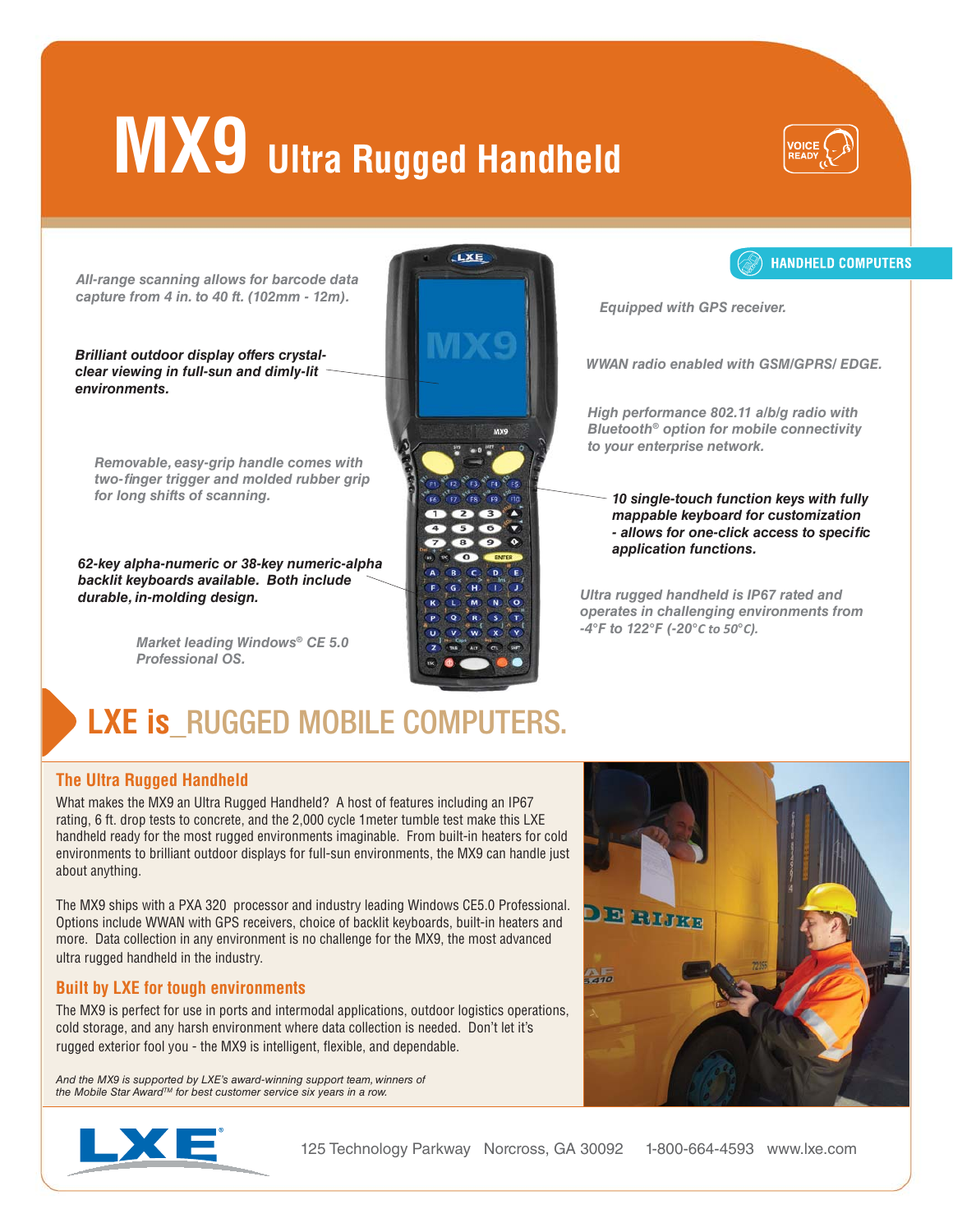# **MX9** Ultra Rugged Handheld



*All-range scanning allows for barcode data capture from 4 in. to 40 ft. (102mm - 12m).*

*Brilliant outdoor display offers crystalclear viewing in full-sun and dimly-lit environments.*

*Removable, easy-grip handle comes with two-fi nger trigger and molded rubber grip for long shifts of scanning.*

*62-key alpha-numeric or 38-key numeric-alpha backlit keyboards available. Both include durable, in-molding design.*

> *Market leading Windows*® *CE 5.0 Professional OS.*





*Equipped with GPS receiver.*

*WWAN radio enabled with GSM/GPRS/ EDGE.*

*High performance 802.11 a/b/g radio with Bluetooth*® *option for mobile connectivity to your enterprise network.*

*10 single-touch function keys with fully mappable keyboard for customization - allows for one-click access to specifi c application functions.*

*Ultra rugged handheld is IP67 rated and operates in challenging environments from -4*°*F to 122*°*F (-20*°*C to 50*°*C).*

### **LXE is RUGGED MOBILE COMPUTERS.**

#### **The Ultra Rugged Handheld**

What makes the MX9 an Ultra Rugged Handheld? A host of features including an IP67 rating, 6 ft. drop tests to concrete, and the 2,000 cycle 1meter tumble test make this LXE handheld ready for the most rugged environments imaginable. From built-in heaters for cold environments to brilliant outdoor displays for full-sun environments, the MX9 can handle just about anything.

The MX9 ships with a PXA 320 processor and industry leading Windows CE5.0 Professional. Options include WWAN with GPS receivers, choice of backlit keyboards, built-in heaters and more. Data collection in any environment is no challenge for the MX9, the most advanced ultra rugged handheld in the industry.

#### **Built by LXE for tough environments**

The MX9 is perfect for use in ports and intermodal applications, outdoor logistics operations, cold storage, and any harsh environment where data collection is needed. Don't let it's rugged exterior fool you - the MX9 is intelligent, flexible, and dependable.

And the MX9 is supported by LXE's award-winning support team, winners of the Mobile Star Award™ for best customer service six years in a row.